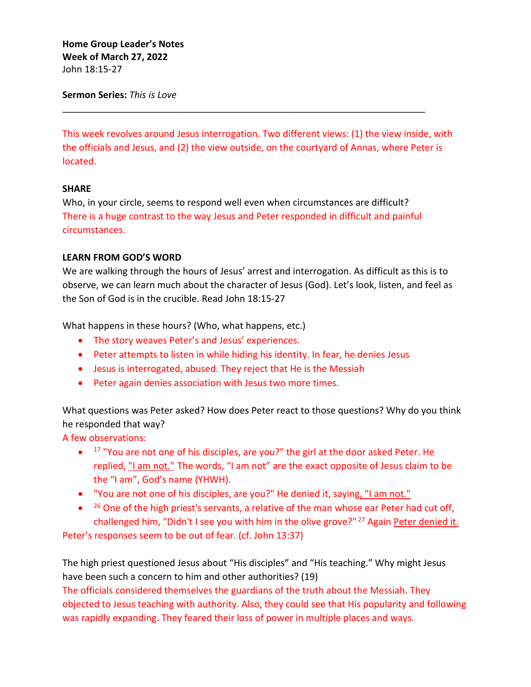**Home Group Leader's Notes Week of March 27, 2022** John 18:15-27

**Sermon Series:** *This is Love*

This week revolves around Jesus interrogation. Two different views: (1) the view inside, with the officials and Jesus, and (2) the view outside, on the courtyard of Annas, where Peter is located.

# **SHARE**

Who, in your circle, seems to respond well even when circumstances are difficult? There is a huge contrast to the way Jesus and Peter responded in difficult and painful circumstances.

\_\_\_\_\_\_\_\_\_\_\_\_\_\_\_\_\_\_\_\_\_\_\_\_\_\_\_\_\_\_\_\_\_\_\_\_\_\_\_\_\_\_\_\_\_\_\_\_\_\_\_\_\_\_\_\_\_\_\_\_\_\_\_\_\_\_\_\_\_\_

## **LEARN FROM GOD'S WORD**

We are walking through the hours of Jesus' arrest and interrogation. As difficult as this is to observe, we can learn much about the character of Jesus (God). Let's look, listen, and feel as the Son of God is in the crucible. Read John 18:15-27

What happens in these hours? (Who, what happens, etc.)

- The story weaves Peter's and Jesus' experiences.
- Peter attempts to listen in while hiding his identity. In fear, he denies Jesus
- Jesus is interrogated, abused. They reject that He is the Messiah
- Peter again denies association with Jesus two more times.

What questions was Peter asked? How does Peter react to those questions? Why do you think he responded that way?

A few observations:

- $\bullet$  17 "You are not one of his disciples, are you?" the girl at the door asked Peter. He replied, "I am not." The words, "I am not" are the exact opposite of Jesus claim to be the "I am", God's name (YHWH).
- "You are not one of his disciples, are you?" He denied it, saying, "I am not."
- $\bullet$  <sup>26</sup> One of the high priest's servants, a relative of the man whose ear Peter had cut off, challenged him, "Didn't I see you with him in the olive grove?" <sup>27</sup> Again Peter denied it.

Peter's responses seem to be out of fear. (cf. John 13:37)

The high priest questioned Jesus about "His disciples" and "His teaching." Why might Jesus have been such a concern to him and other authorities? (19)

The officials considered themselves the guardians of the truth about the Messiah. They objected to Jesus teaching with authority. Also, they could see that His popularity and following was rapidly expanding. They feared their loss of power in multiple places and ways.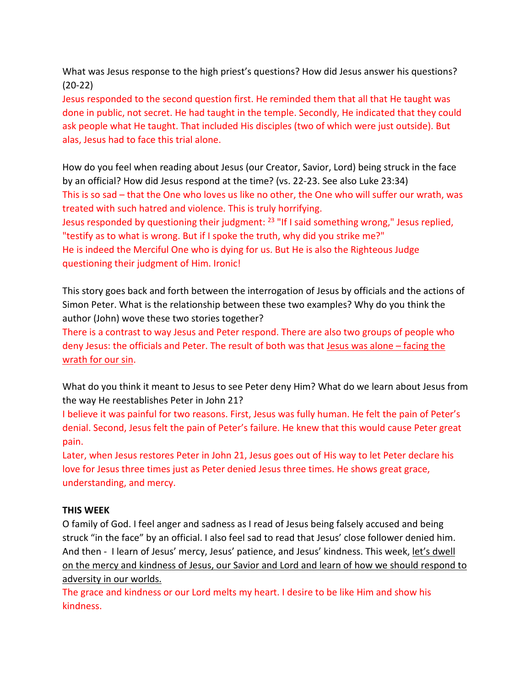What was Jesus response to the high priest's questions? How did Jesus answer his questions? (20-22)

Jesus responded to the second question first. He reminded them that all that He taught was done in public, not secret. He had taught in the temple. Secondly, He indicated that they could ask people what He taught. That included His disciples (two of which were just outside). But alas, Jesus had to face this trial alone.

How do you feel when reading about Jesus (our Creator, Savior, Lord) being struck in the face by an official? How did Jesus respond at the time? (vs. 22-23. See also Luke 23:34) This is so sad – that the One who loves us like no other, the One who will suffer our wrath, was treated with such hatred and violence. This is truly horrifying. Jesus responded by questioning their judgment: <sup>23</sup> "If I said something wrong," Jesus replied, "testify as to what is wrong. But if I spoke the truth, why did you strike me?"

He is indeed the Merciful One who is dying for us. But He is also the Righteous Judge questioning their judgment of Him. Ironic!

This story goes back and forth between the interrogation of Jesus by officials and the actions of Simon Peter. What is the relationship between these two examples? Why do you think the author (John) wove these two stories together?

There is a contrast to way Jesus and Peter respond. There are also two groups of people who deny Jesus: the officials and Peter. The result of both was that Jesus was alone – facing the wrath for our sin.

What do you think it meant to Jesus to see Peter deny Him? What do we learn about Jesus from the way He reestablishes Peter in John 21?

I believe it was painful for two reasons. First, Jesus was fully human. He felt the pain of Peter's denial. Second, Jesus felt the pain of Peter's failure. He knew that this would cause Peter great pain.

Later, when Jesus restores Peter in John 21, Jesus goes out of His way to let Peter declare his love for Jesus three times just as Peter denied Jesus three times. He shows great grace, understanding, and mercy.

# **THIS WEEK**

O family of God. I feel anger and sadness as I read of Jesus being falsely accused and being struck "in the face" by an official. I also feel sad to read that Jesus' close follower denied him. And then - I learn of Jesus' mercy, Jesus' patience, and Jesus' kindness. This week, let's dwell on the mercy and kindness of Jesus, our Savior and Lord and learn of how we should respond to adversity in our worlds.

The grace and kindness or our Lord melts my heart. I desire to be like Him and show his kindness.